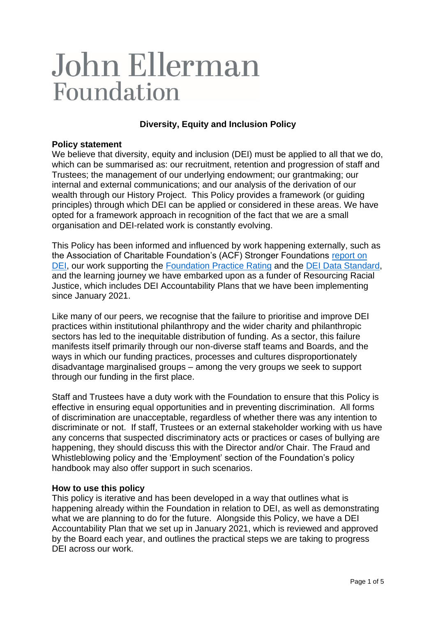# John Ellerman Foundation

## **Diversity, Equity and Inclusion Policy**

## **Policy statement**

We believe that diversity, equity and inclusion (DEI) must be applied to all that we do, which can be summarised as: our recruitment, retention and progression of staff and Trustees; the management of our underlying endowment; our grantmaking; our internal and external communications; and our analysis of the derivation of our wealth through our History Project. This Policy provides a framework (or guiding principles) through which DEI can be applied or considered in these areas. We have opted for a framework approach in recognition of the fact that we are a small organisation and DEI-related work is constantly evolving.

This Policy has been informed and influenced by work happening externally, such as the Association of Charitable Foundation's (ACF) Stronger Foundations [report on](https://www.acf.org.uk/common/Uploaded%20files/Research%20and%20resources/Stronger%20foundations/ACF_DEI_Thepillarsofstrongerfoundationpractice_final.pdf)  [DEI,](https://www.acf.org.uk/common/Uploaded%20files/Research%20and%20resources/Stronger%20foundations/ACF_DEI_Thepillarsofstrongerfoundationpractice_final.pdf) our work supporting the [Foundation Practice Rating](https://www.foundationpracticerating.org.uk/about/?msclkid=aff63bc4d0cc11ecad489372ecbcaa64) and the [DEI Data Standard,](https://www.funderscollaborativehub.org.uk/collaborations/dei-data-standard?msclkid=bb87c7fad0cc11eca7166d985faf47b1) and the learning journey we have embarked upon as a funder of Resourcing Racial Justice, which includes DEI Accountability Plans that we have been implementing since January 2021.

Like many of our peers, we recognise that the failure to prioritise and improve DEI practices within institutional philanthropy and the wider charity and philanthropic sectors has led to the inequitable distribution of funding. As a sector, this failure manifests itself primarily through our non-diverse staff teams and Boards, and the ways in which our funding practices, processes and cultures disproportionately disadvantage marginalised groups – among the very groups we seek to support through our funding in the first place.

Staff and Trustees have a duty work with the Foundation to ensure that this Policy is effective in ensuring equal opportunities and in preventing discrimination. All forms of discrimination are unacceptable, regardless of whether there was any intention to discriminate or not. If staff, Trustees or an external stakeholder working with us have any concerns that suspected discriminatory acts or practices or cases of bullying are happening, they should discuss this with the Director and/or Chair. The Fraud and Whistleblowing policy and the 'Employment' section of the Foundation's policy handbook may also offer support in such scenarios.

#### **How to use this policy**

This policy is iterative and has been developed in a way that outlines what is happening already within the Foundation in relation to DEI, as well as demonstrating what we are planning to do for the future. Alongside this Policy, we have a DEI Accountability Plan that we set up in January 2021, which is reviewed and approved by the Board each year, and outlines the practical steps we are taking to progress DEI across our work.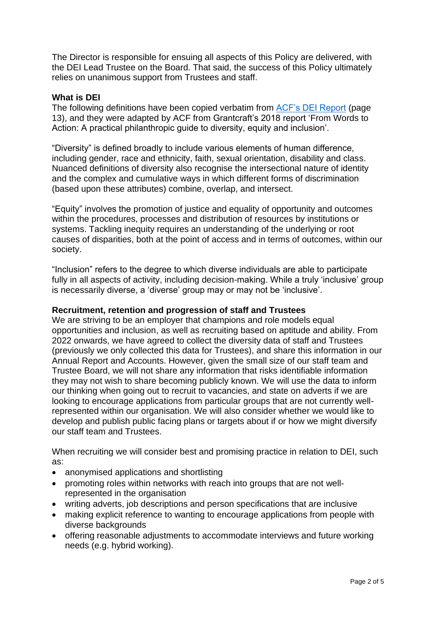The Director is responsible for ensuing all aspects of this Policy are delivered, with the DEI Lead Trustee on the Board. That said, the success of this Policy ultimately relies on unanimous support from Trustees and staff.

## **What is DEI**

The following definitions have been copied verbatim from [ACF's DEI Report](https://www.acf.org.uk/common/Uploaded%20files/Research%20and%20resources/Stronger%20foundations/ACF_DEI_Thepillarsofstrongerfoundationpractice_final.pdf) (page 13), and they were adapted by ACF from Grantcraft's 2018 report 'From Words to Action: A practical philanthropic guide to diversity, equity and inclusion'.

"Diversity" is defined broadly to include various elements of human difference, including gender, race and ethnicity, faith, sexual orientation, disability and class. Nuanced definitions of diversity also recognise the intersectional nature of identity and the complex and cumulative ways in which different forms of discrimination (based upon these attributes) combine, overlap, and intersect.

"Equity" involves the promotion of justice and equality of opportunity and outcomes within the procedures, processes and distribution of resources by institutions or systems. Tackling inequity requires an understanding of the underlying or root causes of disparities, both at the point of access and in terms of outcomes, within our society.

"Inclusion" refers to the degree to which diverse individuals are able to participate fully in all aspects of activity, including decision-making. While a truly 'inclusive' group is necessarily diverse, a 'diverse' group may or may not be 'inclusive'.

## **Recruitment, retention and progression of staff and Trustees**

We are striving to be an employer that champions and role models equal opportunities and inclusion, as well as recruiting based on aptitude and ability. From 2022 onwards, we have agreed to collect the diversity data of staff and Trustees (previously we only collected this data for Trustees), and share this information in our Annual Report and Accounts. However, given the small size of our staff team and Trustee Board, we will not share any information that risks identifiable information they may not wish to share becoming publicly known. We will use the data to inform our thinking when going out to recruit to vacancies, and state on adverts if we are looking to encourage applications from particular groups that are not currently wellrepresented within our organisation. We will also consider whether we would like to develop and publish public facing plans or targets about if or how we might diversify our staff team and Trustees.

When recruiting we will consider best and promising practice in relation to DEI, such as:

- anonymised applications and shortlisting
- promoting roles within networks with reach into groups that are not wellrepresented in the organisation
- writing adverts, job descriptions and person specifications that are inclusive
- making explicit reference to wanting to encourage applications from people with diverse backgrounds
- offering reasonable adjustments to accommodate interviews and future working needs (e.g. hybrid working).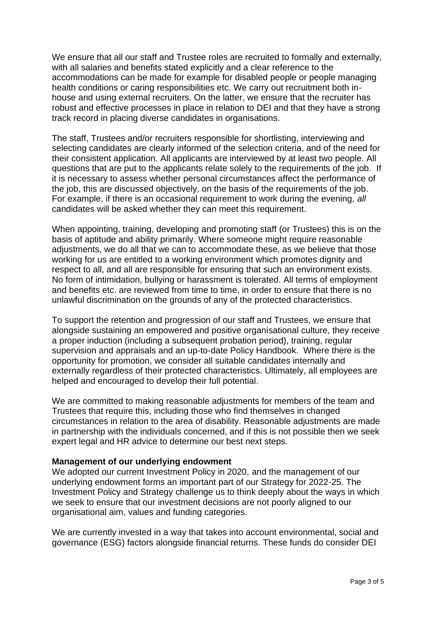We ensure that all our staff and Trustee roles are recruited to formally and externally, with all salaries and benefits stated explicitly and a clear reference to the accommodations can be made for example for disabled people or people managing health conditions or caring responsibilities etc. We carry out recruitment both inhouse and using external recruiters. On the latter, we ensure that the recruiter has robust and effective processes in place in relation to DEI and that they have a strong track record in placing diverse candidates in organisations.

The staff, Trustees and/or recruiters responsible for shortlisting, interviewing and selecting candidates are clearly informed of the selection criteria, and of the need for their consistent application. All applicants are interviewed by at least two people. All questions that are put to the applicants relate solely to the requirements of the job. If it is necessary to assess whether personal circumstances affect the performance of the job, this are discussed objectively, on the basis of the requirements of the job. For example, if there is an occasional requirement to work during the evening, *all*  candidates will be asked whether they can meet this requirement.

When appointing, training, developing and promoting staff (or Trustees) this is on the basis of aptitude and ability primarily. Where someone might require reasonable adjustments, we do all that we can to accommodate these, as we believe that those working for us are entitled to a working environment which promotes dignity and respect to all, and all are responsible for ensuring that such an environment exists. No form of intimidation, bullying or harassment is tolerated. All terms of employment and benefits etc. are reviewed from time to time, in order to ensure that there is no unlawful discrimination on the grounds of any of the protected characteristics.

To support the retention and progression of our staff and Trustees, we ensure that alongside sustaining an empowered and positive organisational culture, they receive a proper induction (including a subsequent probation period), training, regular supervision and appraisals and an up-to-date Policy Handbook. Where there is the opportunity for promotion, we consider all suitable candidates internally and externally regardless of their protected characteristics. Ultimately, all employees are helped and encouraged to develop their full potential.

We are committed to making reasonable adjustments for members of the team and Trustees that require this, including those who find themselves in changed circumstances in relation to the area of disability. Reasonable adjustments are made in partnership with the individuals concerned, and if this is not possible then we seek expert legal and HR advice to determine our best next steps.

#### **Management of our underlying endowment**

We adopted our current Investment Policy in 2020, and the management of our underlying endowment forms an important part of our Strategy for 2022-25. The Investment Policy and Strategy challenge us to think deeply about the ways in which we seek to ensure that our investment decisions are not poorly aligned to our organisational aim, values and funding categories.

We are currently invested in a way that takes into account environmental, social and governance (ESG) factors alongside financial returns. These funds do consider DEI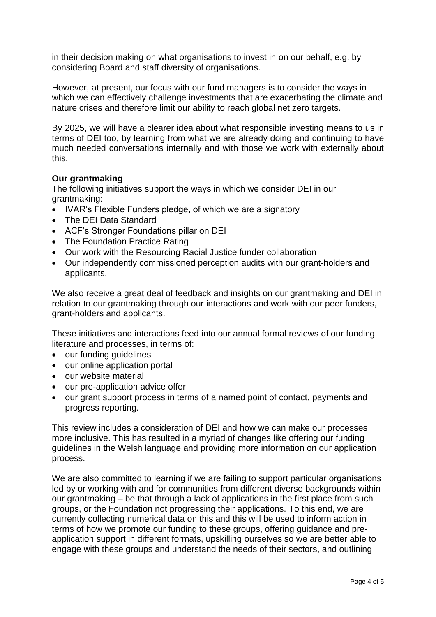in their decision making on what organisations to invest in on our behalf, e.g. by considering Board and staff diversity of organisations.

However, at present, our focus with our fund managers is to consider the ways in which we can effectively challenge investments that are exacerbating the climate and nature crises and therefore limit our ability to reach global net zero targets.

By 2025, we will have a clearer idea about what responsible investing means to us in terms of DEI too, by learning from what we are already doing and continuing to have much needed conversations internally and with those we work with externally about this.

#### **Our grantmaking**

The following initiatives support the ways in which we consider DEI in our grantmaking:

- IVAR's Flexible Funders pledge, of which we are a signatory
- The DEI Data Standard
- ACF's Stronger Foundations pillar on DEI
- The Foundation Practice Rating
- Our work with the Resourcing Racial Justice funder collaboration
- Our independently commissioned perception audits with our grant-holders and applicants.

We also receive a great deal of feedback and insights on our grantmaking and DEI in relation to our grantmaking through our interactions and work with our peer funders, grant-holders and applicants.

These initiatives and interactions feed into our annual formal reviews of our funding literature and processes, in terms of:

- our funding guidelines
- our online application portal
- our website material
- our pre-application advice offer
- our grant support process in terms of a named point of contact, payments and progress reporting.

This review includes a consideration of DEI and how we can make our processes more inclusive. This has resulted in a myriad of changes like offering our funding guidelines in the Welsh language and providing more information on our application process.

We are also committed to learning if we are failing to support particular organisations led by or working with and for communities from different diverse backgrounds within our grantmaking – be that through a lack of applications in the first place from such groups, or the Foundation not progressing their applications. To this end, we are currently collecting numerical data on this and this will be used to inform action in terms of how we promote our funding to these groups, offering guidance and preapplication support in different formats, upskilling ourselves so we are better able to engage with these groups and understand the needs of their sectors, and outlining